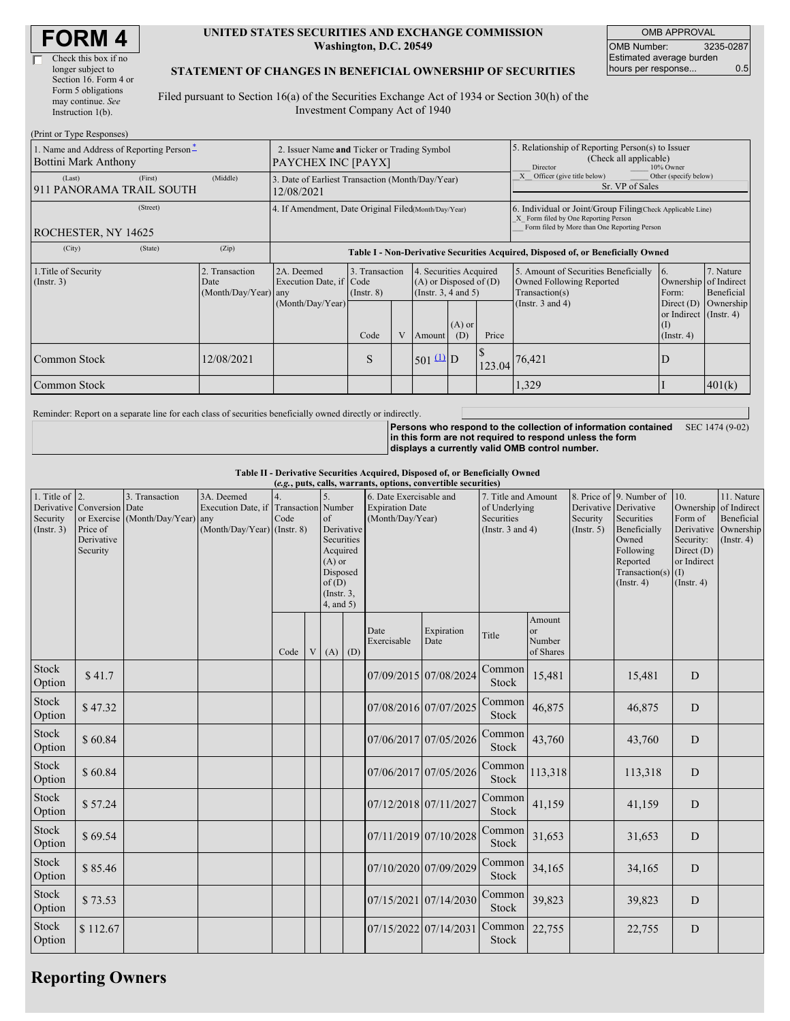| <b>FORM4</b> |
|--------------|
|--------------|

 $(D_{\text{rint}} \text{ or } T_{\text{V}} \text{no } D$ 

#### **UNITED STATES SECURITIES AND EXCHANGE COMMISSION Washington, D.C. 20549**

OMB APPROVAL OMB Number: 3235-0287 Estimated average burden hours per response... 0.5

### **STATEMENT OF CHANGES IN BENEFICIAL OWNERSHIP OF SECURITIES**

Filed pursuant to Section 16(a) of the Securities Exchange Act of 1934 or Section 30(h) of the Investment Company Act of 1940

| $(1 \text{ min} \text{ or } 1 \text{ y} \text{ pc})$<br>1. Name and Address of Reporting Person-<br>Bottini Mark Anthony | 2. Issuer Name and Ticker or Trading Symbol<br><b>PAYCHEX INC [PAYX]</b> |                                                                                  |                                   |   |                                                                                  |                 | 5. Relationship of Reporting Person(s) to Issuer<br>(Check all applicable)<br>Director<br>10% Owner                                                |                                                                                    |                                                  |                                        |
|--------------------------------------------------------------------------------------------------------------------------|--------------------------------------------------------------------------|----------------------------------------------------------------------------------|-----------------------------------|---|----------------------------------------------------------------------------------|-----------------|----------------------------------------------------------------------------------------------------------------------------------------------------|------------------------------------------------------------------------------------|--------------------------------------------------|----------------------------------------|
| (Last)<br>(First)<br>911 PANORAMA TRAIL SOUTH                                                                            | 3. Date of Earliest Transaction (Month/Day/Year)<br>12/08/2021           |                                                                                  |                                   |   |                                                                                  |                 | Other (specify below)<br>Officer (give title below)<br>Sr. VP of Sales                                                                             |                                                                                    |                                                  |                                        |
| (Street)<br><b>ROCHESTER, NY 14625</b>                                                                                   | 4. If Amendment, Date Original Filed(Month/Day/Year)                     |                                                                                  |                                   |   |                                                                                  |                 | 6. Individual or Joint/Group Filing(Check Applicable Line)<br>X Form filed by One Reporting Person<br>Form filed by More than One Reporting Person |                                                                                    |                                                  |                                        |
| (City)<br>(State)                                                                                                        | (Zip)                                                                    | Table I - Non-Derivative Securities Acquired, Disposed of, or Beneficially Owned |                                   |   |                                                                                  |                 |                                                                                                                                                    |                                                                                    |                                                  |                                        |
| 1. Title of Security<br>2. Transaction<br>$($ Instr. 3 $)$<br>Date<br>(Month/Day/Year) any                               |                                                                          | 2A. Deemed<br>Execution Date, if Code                                            | 3. Transaction<br>$($ Instr. $8)$ |   | 4. Securities Acquired<br>$(A)$ or Disposed of $(D)$<br>(Instr. $3, 4$ and $5$ ) |                 |                                                                                                                                                    | 5. Amount of Securities Beneficially<br>Owned Following Reported<br>Transaction(s) | 6.<br>Ownership<br>Form:                         | 7. Nature<br>of Indirect<br>Beneficial |
|                                                                                                                          |                                                                          | (Month/Day/Year)                                                                 | Code                              | V | <b>Amount</b>                                                                    | $(A)$ or<br>(D) | Price                                                                                                                                              | (Instr. $3$ and $4$ )                                                              | Direct $(D)$<br>or Indirect<br>(1)<br>(Insert 4) | Ownership<br>$($ Instr. 4 $)$          |
| Common Stock                                                                                                             | 12/08/2021                                                               |                                                                                  | S                                 |   | $501 \underline{u}$ D                                                            |                 | 123.04                                                                                                                                             | 76,421                                                                             | D                                                |                                        |
| Common Stock                                                                                                             |                                                                          |                                                                                  |                                   |   |                                                                                  |                 |                                                                                                                                                    | 1,329                                                                              |                                                  | 401(k)                                 |

Reminder: Report on a separate line for each class of securities beneficially owned directly or indirectly.

**Persons who respond to the collection of information contained in this form are not required to respond unless the form displays a currently valid OMB control number.** SEC 1474 (9-02)

**Table II - Derivative Securities Acquired, Disposed of, or Beneficially Owned**

| (e.g., puts, calls, warrants, options, convertible securities) |                                                                  |                                                    |                                                                 |                                   |   |                                                                                                              |  |                                                                       |                       |                                                                             |                                                |                         |                                                                                                                                                         |                                                                                                         |                                                                 |
|----------------------------------------------------------------|------------------------------------------------------------------|----------------------------------------------------|-----------------------------------------------------------------|-----------------------------------|---|--------------------------------------------------------------------------------------------------------------|--|-----------------------------------------------------------------------|-----------------------|-----------------------------------------------------------------------------|------------------------------------------------|-------------------------|---------------------------------------------------------------------------------------------------------------------------------------------------------|---------------------------------------------------------------------------------------------------------|-----------------------------------------------------------------|
| 1. Title of $\vert$ 2.<br>Security<br>(Insert. 3)              | Derivative Conversion Date<br>Price of<br>Derivative<br>Security | 3. Transaction<br>or Exercise (Month/Day/Year) any | 3A. Deemed<br>Execution Date, if<br>(Month/Day/Year) (Instr. 8) | <b>Transaction</b> Number<br>Code |   | of<br>Derivative<br>Securities<br>Acquired<br>$(A)$ or<br>Disposed<br>of(D)<br>$($ Instr. $3$ ,<br>4, and 5) |  | 6. Date Exercisable and<br><b>Expiration Date</b><br>(Month/Day/Year) |                       | 7. Title and Amount<br>of Underlying<br>Securities<br>(Instr. $3$ and $4$ ) |                                                | Security<br>(Insert. 5) | 8. Price of 9. Number of<br>Derivative Derivative<br>Securities<br>Beneficially<br>Owned<br>Following<br>Reported<br>Transaction(s)<br>$($ Instr. 4 $)$ | 10.<br>Ownership of Indirect<br>Form of<br>Security:<br>Direct (D)<br>or Indirect<br>(1)<br>(Insert. 4) | 11. Nature<br>Beneficial<br>Derivative Ownership<br>(Insert. 4) |
|                                                                |                                                                  |                                                    |                                                                 | Code                              | V | $(A)$ $(D)$                                                                                                  |  | Date<br>Exercisable                                                   | Expiration<br>Date    | Title                                                                       | Amount<br><sub>or</sub><br>Number<br>of Shares |                         |                                                                                                                                                         |                                                                                                         |                                                                 |
| Stock<br>Option                                                | \$41.7                                                           |                                                    |                                                                 |                                   |   |                                                                                                              |  | 07/09/2015 07/08/2024                                                 |                       | Common<br>Stock                                                             | 15,481                                         |                         | 15,481                                                                                                                                                  | D                                                                                                       |                                                                 |
| Stock<br>Option                                                | \$47.32                                                          |                                                    |                                                                 |                                   |   |                                                                                                              |  | 07/08/2016 07/07/2025                                                 |                       | Common<br>Stock                                                             | 46,875                                         |                         | 46,875                                                                                                                                                  | D                                                                                                       |                                                                 |
| Stock<br>Option                                                | \$60.84                                                          |                                                    |                                                                 |                                   |   |                                                                                                              |  |                                                                       | 07/06/2017 07/05/2026 | Common<br>Stock                                                             | 43,760                                         |                         | 43,760                                                                                                                                                  | D                                                                                                       |                                                                 |
| Stock<br>Option                                                | \$60.84                                                          |                                                    |                                                                 |                                   |   |                                                                                                              |  |                                                                       | 07/06/2017 07/05/2026 | Common<br>Stock                                                             | 113,318                                        |                         | 113,318                                                                                                                                                 | D                                                                                                       |                                                                 |
| Stock<br>Option                                                | \$57.24                                                          |                                                    |                                                                 |                                   |   |                                                                                                              |  | 07/12/2018 07/11/2027                                                 |                       | Common<br>Stock                                                             | 41,159                                         |                         | 41,159                                                                                                                                                  | D                                                                                                       |                                                                 |
| Stock<br>Option                                                | \$69.54                                                          |                                                    |                                                                 |                                   |   |                                                                                                              |  |                                                                       | 07/11/2019 07/10/2028 | Common<br>Stock                                                             | 31,653                                         |                         | 31,653                                                                                                                                                  | D                                                                                                       |                                                                 |
| Stock<br>Option                                                | \$85.46                                                          |                                                    |                                                                 |                                   |   |                                                                                                              |  | 07/10/2020 07/09/2029                                                 |                       | Common<br>Stock                                                             | 34,165                                         |                         | 34,165                                                                                                                                                  | $\mathbf D$                                                                                             |                                                                 |
| Stock<br>Option                                                | \$73.53                                                          |                                                    |                                                                 |                                   |   |                                                                                                              |  |                                                                       | 07/15/2021 07/14/2030 | Common<br>Stock                                                             | 39,823                                         |                         | 39,823                                                                                                                                                  | D                                                                                                       |                                                                 |
| Stock<br>Option                                                | \$112.67                                                         |                                                    |                                                                 |                                   |   |                                                                                                              |  | 07/15/2022 07/14/2031                                                 |                       | Common<br>Stock                                                             | 22,755                                         |                         | 22,755                                                                                                                                                  | D                                                                                                       |                                                                 |

## **Reporting Owners**